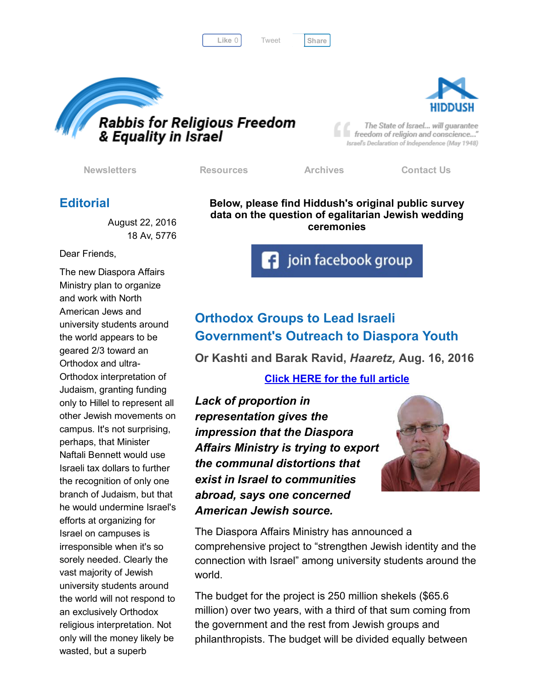Like 0 | Tweet | [Share](javascript:void(0);)

[Tweet](https://twitter.com/intent/tweet?original_referer=http%3A%2F%2Fhosted.verticalresponse.com%2F577764%2Fe21f4f5d02%2F1468699009%2F325ceb4427%2F&ref_src=twsrc%5Etfw&text=Bulletin%3A%203%2F4%20Israelis%20prefer%20egalitarian%20weddings&tw_p=tweetbutton&url=http%3A%2F%2Fhosted-p0.vresp.com%2F577764%2Fe21f4f5d02%2FARCHIVE%23.V7wZlO3RMK8.twitter)





The State of Israel... will guarantee freedom of religion and conscience..." Israel's Declaration of Independence (May 1948)

[Newsletters](http://cts.vresp.com/c/?FreedomofReligionfor/e21f4f5d02/325ceb4427/8936b7978d) [Resources](http://cts.vresp.com/c/?FreedomofReligionfor/e21f4f5d02/325ceb4427/321a7c4689) [Archives](http://cts.vresp.com/c/?FreedomofReligionfor/e21f4f5d02/325ceb4427/902b1e578c) [Contact](http://cts.vresp.com/c/?FreedomofReligionfor/e21f4f5d02/325ceb4427/f11a09e67b) Us

### **Editorial**

August 22, 2016 18 Av, 5776

Dear Friends,

The new Diaspora Affairs Ministry plan to organize and work with North American Jews and university students around the world appears to be geared 2/3 toward an Orthodox and ultra-Orthodox interpretation of Judaism, granting funding only to Hillel to represent all other Jewish movements on campus. It's not surprising, perhaps, that Minister Naftali Bennett would use Israeli tax dollars to further the recognition of only one branch of Judaism, but that he would undermine Israel's efforts at organizing for Israel on campuses is irresponsible when it's so sorely needed. Clearly the vast majority of Jewish university students around the world will not respond to an exclusively Orthodox religious interpretation. Not only will the money likely be wasted, but a superb

Below, please find Hiddush's original public survey data on the question of egalitarian Jewish wedding ceremonies

**f** join facebook group

# Orthodox Groups to Lead Israeli Government's Outreach to Diaspora Youth

Or Kashti and Barak Ravid, *Haaretz,* Aug. 16, 2016

#### Click HERE for the full [article](http://cts.vresp.com/c/?FreedomofReligionfor/e21f4f5d02/325ceb4427/78092ae4e7)

*Lack of proportion in representation gives the impression that the Diaspora Affairs Ministry is trying to export the communal distortions that exist in Israel to communities abroad, says one concerned American Jewish source.*



The Diaspora Affairs Ministry has announced a comprehensive project to "strengthen Jewish identity and the connection with Israel" among university students around the world.

The budget for the project is 250 million shekels (\$65.6 million) over two years, with a third of that sum coming from the government and the rest from Jewish groups and philanthropists. The budget will be divided equally between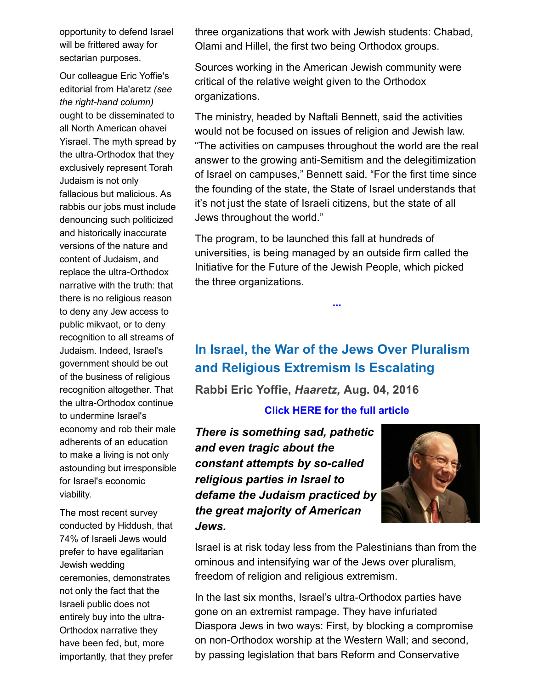opportunity to defend Israel will be frittered away for sectarian purposes.

Our colleague Eric Yoffie's editorial from Ha'aretz *(see the right-hand column)* ought to be disseminated to all North American ohavei Yisrael. The myth spread by the ultra-Orthodox that they exclusively represent Torah Judaism is not only fallacious but malicious. As rabbis our jobs must include denouncing such politicized and historically inaccurate versions of the nature and content of Judaism, and replace the ultra-Orthodox narrative with the truth: that there is no religious reason to deny any Jew access to public mikvaot, or to deny recognition to all streams of Judaism. Indeed, Israel's government should be out of the business of religious recognition altogether. That the ultra-Orthodox continue to undermine Israel's economy and rob their male adherents of an education to make a living is not only astounding but irresponsible for Israel's economic viability.

The most recent survey conducted by Hiddush, that 74% of Israeli Jews would prefer to have egalitarian Jewish wedding ceremonies, demonstrates not only the fact that the Israeli public does not entirely buy into the ultra-Orthodox narrative they have been fed, but, more importantly, that they prefer three organizations that work with Jewish students: Chabad, Olami and Hillel, the first two being Orthodox groups.

Sources working in the American Jewish community were critical of the relative weight given to the Orthodox organizations.

The ministry, headed by Naftali Bennett, said the activities would not be focused on issues of religion and Jewish law. "The activities on campuses throughout the world are the real answer to the growing anti-Semitism and the delegitimization of Israel on campuses," Bennett said. "For the first time since the founding of the state, the State of Israel understands that it's not just the state of Israeli citizens, but the state of all Jews throughout the world."

The program, to be launched this fall at hundreds of universities, is being managed by an outside firm called the Initiative for the Future of the Jewish People, which picked the three organizations.

[...](http://cts.vresp.com/c/?FreedomofReligionfor/e21f4f5d02/325ceb4427/8df6c1447b)

# In Israel, the War of the Jews Over Pluralism and Religious Extremism Is Escalating

Rabbi Eric Yoffie, *Haaretz,* Aug. 04, 2016

#### Click HERE for the full [article](http://cts.vresp.com/c/?FreedomofReligionfor/e21f4f5d02/325ceb4427/872eb9eccb)

*There is something sad, pathetic and even tragic about the constant attempts by so-called religious parties in Israel to defame the Judaism practiced by the great majority of American Jews.*



Israel is at risk today less from the Palestinians than from the ominous and intensifying war of the Jews over pluralism, freedom of religion and religious extremism.

In the last six months, Israel's ultra-Orthodox parties have gone on an extremist rampage. They have infuriated Diaspora Jews in two ways: First, by blocking a compromise on non-Orthodox worship at the Western Wall; and second, by passing legislation that bars Reform and Conservative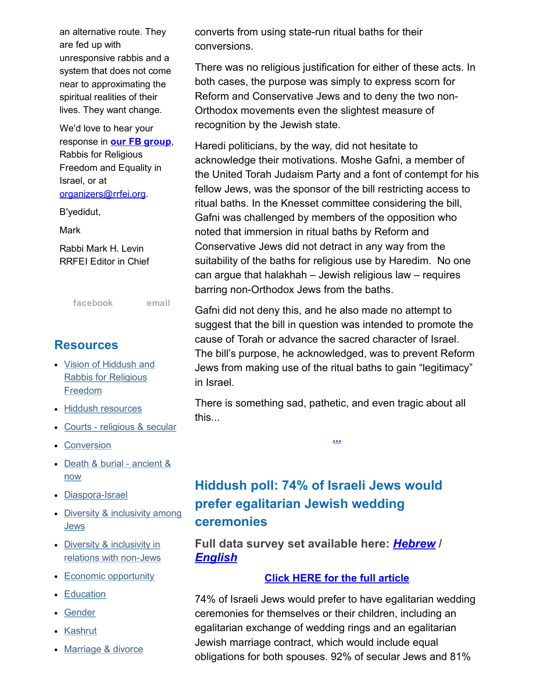an alternative route. They are fed up with unresponsive rabbis and a system that does not come near to approximating the spiritual realities of their lives. They want change.

We'd love to hear your response in **our FB group**, Rabbis for Religious Freedom and Equality in Israel, or at [organizers@rrfei.org.](mailto:organizers@rrfei.org)

B'yedidut,

Mark

Rabbi Mark H. Levin RRFEI Editor in Chief

[facebook](http://cts.vresp.com/c/?FreedomofReligionfor/e21f4f5d02/325ceb4427/fb84162949) [email](mailto:organizers@rrfei.org)

### **Resources**

- Vision of Hiddush and Rabbis for [Religious](http://cts.vresp.com/c/?FreedomofReligionfor/e21f4f5d02/325ceb4427/12ddc2619f) Freedom
- Hiddush [resources](http://cts.vresp.com/c/?FreedomofReligionfor/e21f4f5d02/325ceb4427/8adae9c885)
- Courts [religious](http://cts.vresp.com/c/?FreedomofReligionfor/e21f4f5d02/325ceb4427/f726d8f3df) & secular
- [Conversion](http://cts.vresp.com/c/?FreedomofReligionfor/e21f4f5d02/325ceb4427/e756fc4563)
- Death & burial [ancient](http://cts.vresp.com/c/?FreedomofReligionfor/e21f4f5d02/325ceb4427/9c4d481a6b) & now
- Diaspora-Israel
- Diversity & [inclusivity](http://cts.vresp.com/c/?FreedomofReligionfor/e21f4f5d02/325ceb4427/fec1e50a89) among **Jews**
- Diversity & inclusivity in relations with non-Jews
- Economic [opportunity](http://cts.vresp.com/c/?FreedomofReligionfor/e21f4f5d02/325ceb4427/b11b5fb2ea)
- [Education](http://cts.vresp.com/c/?FreedomofReligionfor/e21f4f5d02/325ceb4427/0d077ea7b0)
- [Gender](http://cts.vresp.com/c/?FreedomofReligionfor/e21f4f5d02/325ceb4427/cc549dd231)
- [Kashrut](http://cts.vresp.com/c/?FreedomofReligionfor/e21f4f5d02/325ceb4427/fd25ec035f)
- [Marriage](http://cts.vresp.com/c/?FreedomofReligionfor/e21f4f5d02/325ceb4427/3060c85809) & divorce

converts from using state-run ritual baths for their conversions.

There was no religious justification for either of these acts. In both cases, the purpose was simply to express scorn for Reform and Conservative Jews and to deny the two non-Orthodox movements even the slightest measure of recognition by the Jewish state.

Haredi politicians, by the way, did not hesitate to acknowledge their motivations. Moshe Gafni, a member of the United Torah Judaism Party and a font of contempt for his fellow Jews, was the sponsor of the bill restricting access to ritual baths. In the Knesset committee considering the bill, Gafni was challenged by members of the opposition who noted that immersion in ritual baths by Reform and Conservative Jews did not detract in any way from the suitability of the baths for religious use by Haredim. No one can argue that halakhah – Jewish religious law – requires barring non-Orthodox Jews from the baths.

Gafni did not deny this, and he also made no attempt to suggest that the bill in question was intended to promote the cause of Torah or advance the sacred character of Israel. The bill's purpose, he acknowledged, was to prevent Reform Jews from making use of the ritual baths to gain "legitimacy" in Israel.

There is something sad, pathetic, and even tragic about all this...

[...](http://cts.vresp.com/c/?FreedomofReligionfor/e21f4f5d02/325ceb4427/b8845efeb9)

# Hiddush poll: 74% of Israeli Jews would prefer egalitarian Jewish wedding ceremonies

Full data survey set available here: *[Hebrew](http://cts.vresp.com/c/?FreedomofReligionfor/e21f4f5d02/325ceb4427/8b63fd29c5)* / *[English](http://cts.vresp.com/c/?FreedomofReligionfor/e21f4f5d02/325ceb4427/d374706bf2)*

#### Click HERE for the full [article](http://cts.vresp.com/c/?FreedomofReligionfor/e21f4f5d02/325ceb4427/7e9cc59993)

74% of Israeli Jews would prefer to have egalitarian wedding ceremonies for themselves or their children, including an egalitarian exchange of wedding rings and an egalitarian Jewish marriage contract, which would include equal obligations for both spouses. 92% of secular Jews and 81%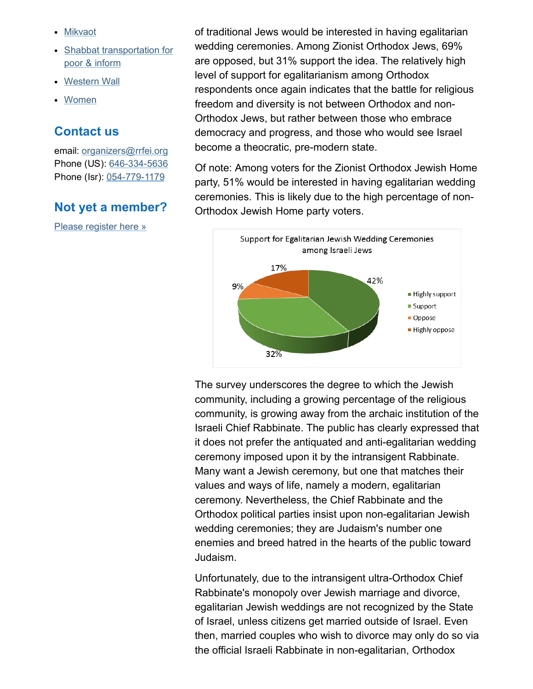- [Mikvaot](http://cts.vresp.com/c/?FreedomofReligionfor/e21f4f5d02/325ceb4427/f4f093fc53)
- **Shabbat [transportation](http://cts.vresp.com/c/?FreedomofReligionfor/e21f4f5d02/325ceb4427/a2c3fbe500) for** poor & inform
- [Western](http://cts.vresp.com/c/?FreedomofReligionfor/e21f4f5d02/325ceb4427/97049a82d1) Wall
- [Women](http://cts.vresp.com/c/?FreedomofReligionfor/e21f4f5d02/325ceb4427/6e8d19de5b)

#### Contact us

email: [organizers@rrfei.org](mailto:organizers@rrfei.org) Phone (US): 646-334-5636 Phone (Isr): 054-779-1179

### Not yet a member?

Please [register](http://cts.vresp.com/c/?FreedomofReligionfor/e21f4f5d02/325ceb4427/a3015fe71d) here »

of traditional Jews would be interested in having egalitarian wedding ceremonies. Among Zionist Orthodox Jews, 69% are opposed, but 31% support the idea. The relatively high level of support for egalitarianism among Orthodox respondents once again indicates that the battle for religious freedom and diversity is not between Orthodox and non-Orthodox Jews, but rather between those who embrace democracy and progress, and those who would see Israel become a theocratic, pre-modern state.

Of note: Among voters for the Zionist Orthodox Jewish Home party, 51% would be interested in having egalitarian wedding ceremonies. This is likely due to the high percentage of non-Orthodox Jewish Home party voters.



The survey underscores the degree to which the Jewish community, including a growing percentage of the religious community, is growing away from the archaic institution of the Israeli Chief Rabbinate. The public has clearly expressed that it does not prefer the antiquated and anti-egalitarian wedding ceremony imposed upon it by the intransigent Rabbinate. Many want a Jewish ceremony, but one that matches their values and ways of life, namely a modern, egalitarian ceremony. Nevertheless, the Chief Rabbinate and the Orthodox political parties insist upon nonegalitarian Jewish wedding ceremonies; they are Judaism's number one enemies and breed hatred in the hearts of the public toward Judaism.

Unfortunately, due to the intransigent ultra-Orthodox Chief Rabbinate's monopoly over Jewish marriage and divorce, egalitarian Jewish weddings are not recognized by the State of Israel, unless citizens get married outside of Israel. Even then, married couples who wish to divorce may only do so via the official Israeli Rabbinate in nonegalitarian, Orthodox